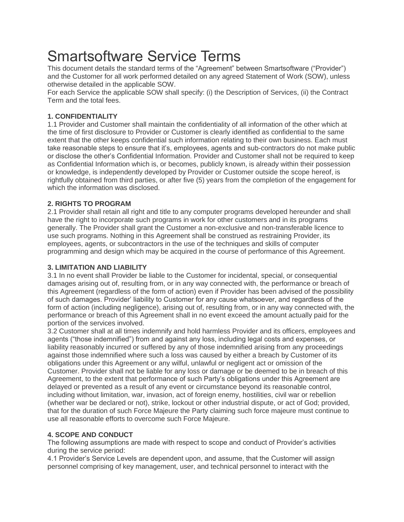# Smartsoftware Service Terms

This document details the standard terms of the "Agreement" between Smartsoftware ("Provider") and the Customer for all work performed detailed on any agreed Statement of Work (SOW), unless otherwise detailed in the applicable SOW.

For each Service the applicable SOW shall specify: (i) the Description of Services, (ii) the Contract Term and the total fees.

## **1. CONFIDENTIALITY**

1.1 Provider and Customer shall maintain the confidentiality of all information of the other which at the time of first disclosure to Provider or Customer is clearly identified as confidential to the same extent that the other keeps confidential such information relating to their own business. Each must take reasonable steps to ensure that it's, employees, agents and sub-contractors do not make public or disclose the other's Confidential Information. Provider and Customer shall not be required to keep as Confidential Information which is, or becomes, publicly known, is already within their possession or knowledge, is independently developed by Provider or Customer outside the scope hereof, is rightfully obtained from third parties, or after five (5) years from the completion of the engagement for which the information was disclosed.

## **2. RIGHTS TO PROGRAM**

2.1 Provider shall retain all right and title to any computer programs developed hereunder and shall have the right to incorporate such programs in work for other customers and in its programs generally. The Provider shall grant the Customer a non-exclusive and non-transferable licence to use such programs. Nothing in this Agreement shall be construed as restraining Provider, its employees, agents, or subcontractors in the use of the techniques and skills of computer programming and design which may be acquired in the course of performance of this Agreement.

## **3. LIMITATION AND LIABILITY**

3.1 In no event shall Provider be liable to the Customer for incidental, special, or consequential damages arising out of, resulting from, or in any way connected with, the performance or breach of this Agreement (regardless of the form of action) even if Provider has been advised of the possibility of such damages. Provider' liability to Customer for any cause whatsoever, and regardless of the form of action (including negligence), arising out of, resulting from, or in any way connected with, the performance or breach of this Agreement shall in no event exceed the amount actually paid for the portion of the services involved.

3.2 Customer shall at all times indemnify and hold harmless Provider and its officers, employees and agents ("those indemnified") from and against any loss, including legal costs and expenses, or liability reasonably incurred or suffered by any of those indemnified arising from any proceedings against those indemnified where such a loss was caused by either a breach by Customer of its obligations under this Agreement or any wilful, unlawful or negligent act or omission of the Customer. Provider shall not be liable for any loss or damage or be deemed to be in breach of this Agreement, to the extent that performance of such Party's obligations under this Agreement are delayed or prevented as a result of any event or circumstance beyond its reasonable control, including without limitation, war, invasion, act of foreign enemy, hostilities, civil war or rebellion (whether war be declared or not), strike, lockout or other industrial dispute, or act of God; provided, that for the duration of such Force Majeure the Party claiming such force majeure must continue to use all reasonable efforts to overcome such Force Majeure.

## **4. SCOPE AND CONDUCT**

The following assumptions are made with respect to scope and conduct of Provider's activities during the service period:

4.1 Provider's Service Levels are dependent upon, and assume, that the Customer will assign personnel comprising of key management, user, and technical personnel to interact with the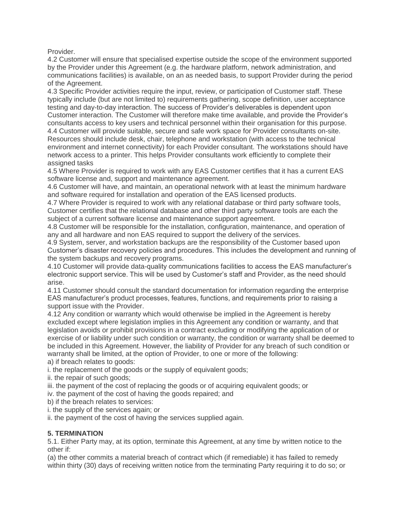Provider.

4.2 Customer will ensure that specialised expertise outside the scope of the environment supported by the Provider under this Agreement (e.g. the hardware platform, network administration, and communications facilities) is available, on an as needed basis, to support Provider during the period of the Agreement.

4.3 Specific Provider activities require the input, review, or participation of Customer staff. These typically include (but are not limited to) requirements gathering, scope definition, user acceptance testing and day-to-day interaction. The success of Provider's deliverables is dependent upon Customer interaction. The Customer will therefore make time available, and provide the Provider's consultants access to key users and technical personnel within their organisation for this purpose. 4.4 Customer will provide suitable, secure and safe work space for Provider consultants on-site. Resources should include desk, chair, telephone and workstation (with access to the technical environment and internet connectivity) for each Provider consultant. The workstations should have network access to a printer. This helps Provider consultants work efficiently to complete their assigned tasks

4.5 Where Provider is required to work with any EAS Customer certifies that it has a current EAS software license and, support and maintenance agreement.

4.6 Customer will have, and maintain, an operational network with at least the minimum hardware and software required for installation and operation of the EAS licensed products.

4.7 Where Provider is required to work with any relational database or third party software tools, Customer certifies that the relational database and other third party software tools are each the subject of a current software license and maintenance support agreement.

4.8 Customer will be responsible for the installation, configuration, maintenance, and operation of any and all hardware and non EAS required to support the delivery of the services.

4.9 System, server, and workstation backups are the responsibility of the Customer based upon Customer's disaster recovery policies and procedures. This includes the development and running of the system backups and recovery programs.

4.10 Customer will provide data-quality communications facilities to access the EAS manufacturer's electronic support service. This will be used by Customer's staff and Provider, as the need should arise.

4.11 Customer should consult the standard documentation for information regarding the enterprise EAS manufacturer's product processes, features, functions, and requirements prior to raising a support issue with the Provider.

4.12 Any condition or warranty which would otherwise be implied in the Agreement is hereby excluded except where legislation implies in this Agreement any condition or warranty, and that legislation avoids or prohibit provisions in a contract excluding or modifying the application of or exercise of or liability under such condition or warranty, the condition or warranty shall be deemed to be included in this Agreement. However, the liability of Provider for any breach of such condition or warranty shall be limited, at the option of Provider, to one or more of the following:

a) if breach relates to goods:

i. the replacement of the goods or the supply of equivalent goods;

ii. the repair of such goods;

iii. the payment of the cost of replacing the goods or of acquiring equivalent goods; or

iv. the payment of the cost of having the goods repaired; and

b) if the breach relates to services:

i. the supply of the services again; or

ii. the payment of the cost of having the services supplied again.

#### **5. TERMINATION**

5.1. Either Party may, at its option, terminate this Agreement, at any time by written notice to the other if:

(a) the other commits a material breach of contract which (if remediable) it has failed to remedy within thirty (30) days of receiving written notice from the terminating Party requiring it to do so; or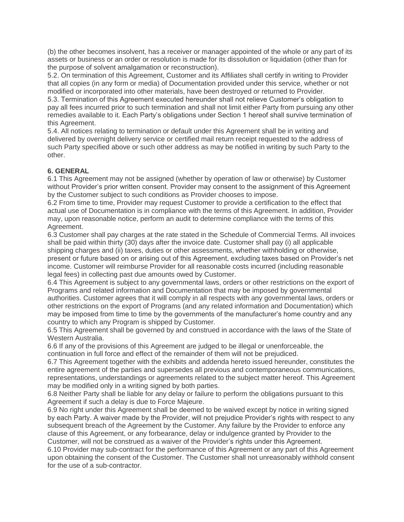(b) the other becomes insolvent, has a receiver or manager appointed of the whole or any part of its assets or business or an order or resolution is made for its dissolution or liquidation (other than for the purpose of solvent amalgamation or reconstruction).

5.2. On termination of this Agreement, Customer and its Affiliates shall certify in writing to Provider that all copies (in any form or media) of Documentation provided under this service, whether or not modified or incorporated into other materials, have been destroyed or returned to Provider.

5.3. Termination of this Agreement executed hereunder shall not relieve Customer's obligation to pay all fees incurred prior to such termination and shall not limit either Party from pursuing any other remedies available to it. Each Party's obligations under Section 1 hereof shall survive termination of this Agreement.

5.4. All notices relating to termination or default under this Agreement shall be in writing and delivered by overnight delivery service or certified mail return receipt requested to the address of such Party specified above or such other address as may be notified in writing by such Party to the other.

#### **6. GENERAL**

6.1 This Agreement may not be assigned (whether by operation of law or otherwise) by Customer without Provider's prior written consent. Provider may consent to the assignment of this Agreement by the Customer subject to such conditions as Provider chooses to impose.

6.2 From time to time, Provider may request Customer to provide a certification to the effect that actual use of Documentation is in compliance with the terms of this Agreement. In addition, Provider may, upon reasonable notice, perform an audit to determine compliance with the terms of this Agreement.

6.3 Customer shall pay charges at the rate stated in the Schedule of Commercial Terms. All invoices shall be paid within thirty (30) days after the invoice date. Customer shall pay (i) all applicable shipping charges and (ii) taxes, duties or other assessments, whether withholding or otherwise, present or future based on or arising out of this Agreement, excluding taxes based on Provider's net income. Customer will reimburse Provider for all reasonable costs incurred (including reasonable legal fees) in collecting past due amounts owed by Customer.

6.4 This Agreement is subject to any governmental laws, orders or other restrictions on the export of Programs and related information and Documentation that may be imposed by governmental authorities. Customer agrees that it will comply in all respects with any governmental laws, orders or other restrictions on the export of Programs (and any related information and Documentation) which may be imposed from time to time by the governments of the manufacturer's home country and any country to which any Program is shipped by Customer.

6.5 This Agreement shall be governed by and construed in accordance with the laws of the State of Western Australia.

6.6 If any of the provisions of this Agreement are judged to be illegal or unenforceable, the continuation in full force and effect of the remainder of them will not be prejudiced.

6.7 This Agreement together with the exhibits and addenda hereto issued hereunder, constitutes the entire agreement of the parties and supersedes all previous and contemporaneous communications, representations, understandings or agreements related to the subject matter hereof. This Agreement may be modified only in a writing signed by both parties.

6.8 Neither Party shall be liable for any delay or failure to perform the obligations pursuant to this Agreement if such a delay is due to Force Majeure.

6.9 No right under this Agreement shall be deemed to be waived except by notice in writing signed by each Party. A waiver made by the Provider, will not prejudice Provider's rights with respect to any subsequent breach of the Agreement by the Customer. Any failure by the Provider to enforce any clause of this Agreement, or any forbearance, delay or indulgence granted by Provider to the Customer, will not be construed as a waiver of the Provider's rights under this Agreement.

6.10 Provider may sub-contract for the performance of this Agreement or any part of this Agreement upon obtaining the consent of the Customer. The Customer shall not unreasonably withhold consent for the use of a sub-contractor.